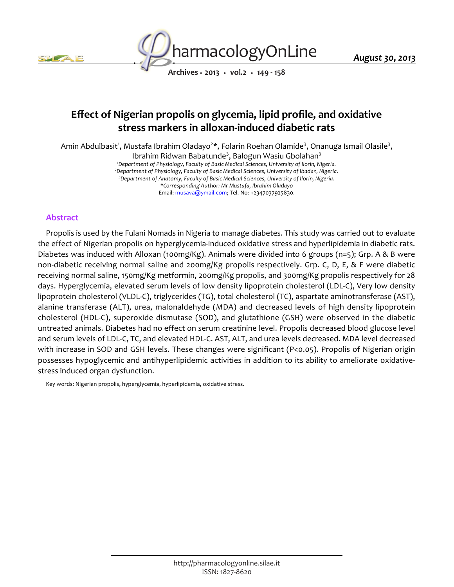



*Archives • 2013 • vol.2 • 149 - 158*

# *Effect of Nigerian propolis on glycemia, lipid profile, and oxidative stress markers in alloxan-induced diabetic rats*

*Amin Abdulbasit<sup>1</sup> , Mustafa Ibrahim Oladayo<sup>2</sup> \*, Folarin Roehan Olamide<sup>3</sup> , Onanuga Ismail Olasile<sup>3</sup> ,*

*Ibrahim Ridwan Babatunde<sup>3</sup> , Balogun Wasiu Gbolahan<sup>3</sup> <sup>1</sup>Department of Physiology, Faculty of Basic Medical Sciences, University of Ilorin, Nigeria. <sup>2</sup>Department of Physiology, Faculty of Basic Medical Sciences, University of Ibadan, Nigeria. <sup>3</sup>Department of Anatomy, Faculty of Basic Medical Sciences, University of Ilorin, Nigeria. \*Corresponding Author: Mr Mustafa, Ibrahim Oladayo*

*Email: musava@ymail.com; Tel. No: +2347037925830.*

#### *Abstract*

*Propolis is used by the Fulani Nomads in Nigeria to manage diabetes. This study was carried out to evaluate the effect of Nigerian propolis on hyperglycemia-induced oxidative stress and hyperlipidemia in diabetic rats. Diabetes was induced with Alloxan (100mg/Kg). Animals were divided into 6 groups (n=5); Grp. A & B were non-diabetic receiving normal saline and 200mg/Kg propolis respectively. Grp. C, D, E, & F were diabetic receiving normal saline, 150mg/Kg metformin, 200mg/Kg propolis, and 300mg/Kg propolis respectively for 28 days. Hyperglycemia, elevated serum levels of low density lipoprotein cholesterol (LDL-C), Very low density lipoprotein cholesterol (VLDL-C), triglycerides (TG), total cholesterol (TC), aspartate aminotransferase (AST), alanine transferase (ALT), urea, malonaldehyde (MDA) and decreased levels of high density lipoprotein cholesterol (HDL-C), superoxide dismutase (SOD), and glutathione (GSH) were observed in the diabetic untreated animals. Diabetes had no effect on serum creatinine level. Propolis decreased blood glucose level and serum levels of LDL-C, TC, and elevated HDL-C. AST, ALT, and urea levels decreased. MDA level decreased with increase in SOD and GSH levels. These changes were significant (P<0.05). Propolis of Nigerian origin possesses hypoglycemic and antihyperlipidemic activities in addition to its ability to ameliorate oxidativestress induced organ dysfunction.*

*Key words: Nigerian propolis, hyperglycemia, hyperlipidemia, oxidative stress.*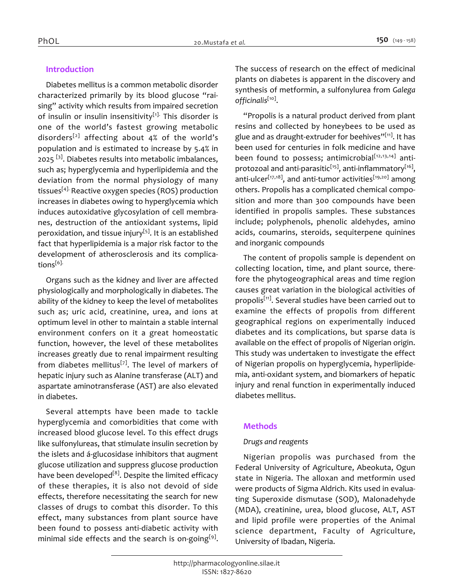# *Introduction*

*Diabetes mellitus is a common metabolic disorder characterized primarily by its blood glucose "raising" activity which results from impaired secretion of insulin or insulin insensitivity[1]. This disorder is one of the world's fastest growing metabolic disorders[2] affecting about 4% of the world's population and is estimated to increase by 5.4% in 2025 [3]. Diabetes results into metabolic imbalances, such as; hyperglycemia and hyperlipidemia and the deviation from the normal physiology of many tissues[4]. Reactive oxygen species (ROS) production increases in diabetes owing to hyperglycemia which induces autoxidative glycosylation of cell membranes, destruction of the antioxidant systems, lipid peroxidation, and tissue injury[5]. It is an established fact that hyperlipidemia is a major risk factor to the development of atherosclerosis and its complications[6].*

*Organs such as the kidney and liver are affected physiologically and morphologically in diabetes. The ability of the kidney to keep the level of metabolites such as; uric acid, creatinine, urea, and ions at optimum level in other to maintain a stable internal environment confers on it a great homeostatic function, however, the level of these metabolites increases greatly due to renal impairment resulting from diabetes mellitus[7]. The level of markers of hepatic injury such as Alanine transferase (ALT) and aspartate aminotransferase (AST) are also elevated in diabetes.*

*Several attempts have been made to tackle hyperglycemia and comorbidities that come with increased blood glucose level. To this effect drugs like sulfonylureas, that stimulate insulin secretion by the islets and á-glucosidase inhibitors that augment glucose utilization and suppress glucose production have been developed[8]. Despite the limited efficacy of these therapies, it is also not devoid of side effects, therefore necessitating the search for new classes of drugs to combat this disorder. To this effect, many substances from plant source have been found to possess anti-diabetic activity with minimal side effects and the search is on-going[9] .* 

*The success of research on the effect of medicinal plants on diabetes is apparent in the discovery and synthesis of metformin, a sulfonylurea from Galega officinalis[10] .*

*"Propolis is a natural product derived from plant resins and collected by honeybees to be used as glue and as draught-extruder for beehives"[11]. It has been used for centuries in folk medicine and have been found to possess; antimicrobial[12,13,14] antiprotozoal and anti-parasitic[15], anti-inflammatory[16] , anti-ulcer[17,18], and anti-tumor activities[19,20] among others. Propolis has a complicated chemical composition and more than 300 compounds have been identified in propolis samples. These substances include; polyphenols, phenolic aldehydes, amino acids, coumarins, steroids, sequiterpene quinines and inorganic compounds*

*The content of propolis sample is dependent on collecting location, time, and plant source, therefore the phytogeographical areas and time region causes great variation in the biological activities of propolis[11]. Several studies have been carried out to examine the effects of propolis from different geographical regions on experimentally induced diabetes and its complications, but sparse data is available on the effect of propolis of Nigerian origin. This study was undertaken to investigate the effect of Nigerian propolis on hyperglycemia, hyperlipidemia, anti-oxidant system, and biomarkers of hepatic injury and renal function in experimentally induced diabetes mellitus.*

## *Methods*

## *Drugs and reagents*

*Nigerian propolis was purchased from the Federal University of Agriculture, Abeokuta, Ogun state in Nigeria. The alloxan and metformin used were products of Sigma Aldrich. Kits used in evaluating Superoxide dismutase (SOD), Malonadehyde (MDA), creatinine, urea, blood glucose, ALT, AST and lipid profile were properties of the Animal science department, Faculty of Agriculture, University of Ibadan, Nigeria.*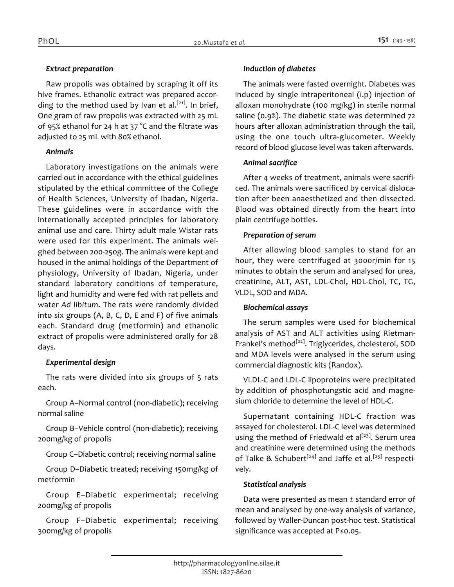### *Extract preparation*

*Raw propolis was obtained by scraping it off its hive frames. Ethanolic extract was prepared according to the method used by Ivan et al.[21]. In brief, One gram of raw propolis was extracted with 25 mL of 95% ethanol for 24 h at 37 °C and the filtrate was adjusted to 25 mL with 80% ethanol.*

#### *Animals*

*Laboratory investigations on the animals were carried out in accordance with the ethical guidelines stipulated by the ethical committee of the College of Health Sciences, University of Ibadan, Nigeria. These guidelines were in accordance with the internationally accepted principles for laboratory animal use and care. Thirty adult male Wistar rats were used for this experiment. The animals weighed between 200-250g. The animals were kept and housed in the animal holdings of the Department of physiology, University of Ibadan, Nigeria, under standard laboratory conditions of temperature, light and humidity and were fed with rat pellets and water Ad libitum. The rats were randomly divided into six groups (A, B, C, D, E and F) of five animals each. Standard drug (metformin) and ethanolic extract of propolis were administered orally for 28 days.*

## *Experimental design*

*The rats were divided into six groups of 5 rats each.*

*Group A–Normal control (non-diabetic); receiving normal saline*

*Group B–Vehicle control (non-diabetic); receiving 200mg/kg of propolis*

*Group C–Diabetic control; receiving normal saline*

*Group D–Diabetic treated; receiving 150mg/kg of metformin*

*Group E–Diabetic experimental; receiving 200mg/kg of propolis*

*Group F–Diabetic experimental; receiving 300mg/kg of propolis*

### *Induction of diabetes*

*The animals were fasted overnight. Diabetes was induced by single intraperitoneal (i.p) injection of alloxan monohydrate (100 mg/kg) in sterile normal saline (0.9%). The diabetic state was determined 72 hours after alloxan administration through the tail, using the one touch ultra-glucometer. Weekly record of blood glucose level was taken afterwards.*

#### *Animal sacrifice*

*After 4 weeks of treatment, animals were sacrificed. The animals were sacrificed by cervical dislocation after been anaesthetized and then dissected. Blood was obtained directly from the heart into plain centrifuge bottles.*

## *Preparation of serum*

*After allowing blood samples to stand for an hour, they were centrifuged at 3000r/min for 15 minutes to obtain the serum and analysed for urea, creatinine, ALT, AST, LDL-Chol, HDL-Chol, TC, TG, VLDL, SOD and MDA.*

#### *Biochemical assays*

*The serum samples were used for biochemical analysis of AST and ALT activities using Rietman-Frankel's method[22]. Triglycerides, cholesterol, SOD and MDA levels were analysed in the serum using commercial diagnostic kits (Randox).*

*VLDL-C and LDL-C lipoproteins were precipitated by addition of phosphotungstic acid and magnesium chloride to determine the level of HDL-C.*

*Supernatant containing HDL-C fraction was assayed for cholesterol. LDL-C level was determined using the method of Friedwald et al[23]. Serum urea and creatinine were determined using the methods of Talke & Schubert[24] and Jaffe et al.[25] respectively.*

## *Statistical analysis*

*Data were presented as mean ± standard error of mean and analysed by one-way analysis of variance, followed by Waller-Duncan post-hoc test. Statistical significance was accepted at P≤0.05.*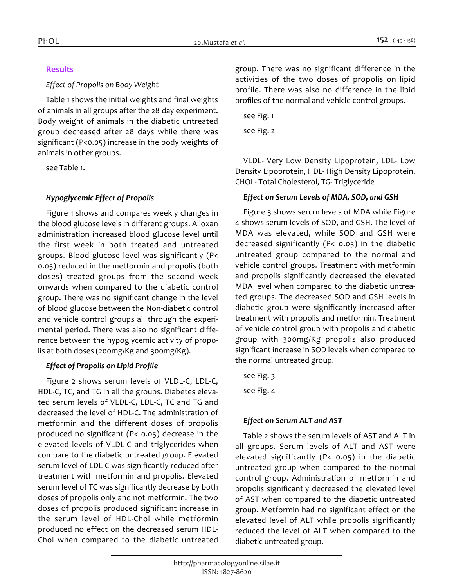## *Results*

#### *Effect of Propolis on Body Weight*

*Table 1 shows the initial weights and final weights of animals in all groups after the 28 day experiment. Body weight of animals in the diabetic untreated group decreased after 28 days while there was significant (P<0.05) increase in the body weights of animals in other groups.*

*see Table 1.*

# *Hypoglycemic Effect of Propolis*

*Figure 1 shows and compares weekly changes in the blood glucose levels in different groups. Alloxan administration increased blood glucose level until the first week in both treated and untreated groups. Blood glucose level was significantly (P< 0.05) reduced in the metformin and propolis (both doses) treated groups from the second week onwards when compared to the diabetic control group. There was no significant change in the level of blood glucose between the Non-diabetic control and vehicle control groups all through the experimental period. There was also no significant difference between the hypoglycemic activity of propolis at both doses (200mg/Kg and 300mg/Kg).*

## *Effect of Propolis on Lipid Profile*

*Figure 2 shows serum levels of VLDL-C, LDL-C, HDL-C, TC, and TG in all the groups. Diabetes eleva*ted serum levels of VLDL-C, LDL-C, TC and TG and *decreased the level of HDL-C. The administration of metformin and the different doses of propolis produced no significant (P< 0.05) decrease in the elevated levels of VLDL-C and triglycerides when compare to the diabetic untreated group. Elevated serum level of LDL-C was significantly reduced after treatment with metformin and propolis. Elevated serum level of TC was significantly decrease by both doses of propolis only and not metformin. The two doses of propolis produced significant increase in the serum level of HDL-Chol while metformin produced no effect on the decreased serum HDL-Chol when compared to the diabetic untreated*  *group. There was no significant difference in the activities of the two doses of propolis on lipid profile. There was also no difference in the lipid profiles of the normal and vehicle control groups.*

*see Fig. 1 see Fig. 2*

*VLDL- Very Low Density Lipoprotein, LDL- Low Density Lipoprotein, HDL- High Density Lipoprotein, CHOL- Total Cholesterol, TG- Triglyceride*

## *Effect on Serum Levels of MDA, SOD, and GSH*

*Figure 3 shows serum levels of MDA while Figure 4 shows serum levels of SOD, and GSH. The level of MDA was elevated, while SOD and GSH were decreased significantly (P< 0.05) in the diabetic untreated group compared to the normal and vehicle control groups. Treatment with metformin and propolis significantly decreased the elevated MDA level when compared to the diabetic untreated groups. The decreased SOD and GSH levels in diabetic group were significantly increased after treatment with propolis and metformin. Treatment of vehicle control group with propolis and diabetic group with 300mg/Kg propolis also produced significant increase in SOD levels when compared to the normal untreated group.*

*see Fig. 3*

*see Fig. 4*

# *Effect on Serum ALT and AST*

*Table 2 shows the serum levels of AST and ALT in all groups. Serum levels of ALT and AST were elevated significantly (P< 0.05) in the diabetic untreated group when compared to the normal control group. Administration of metformin and propolis significantly decreased the elevated level of AST when compared to the diabetic untreated group. Metformin had no significant effect on the elevated level of ALT while propolis significantly reduced the level of ALT when compared to the diabetic untreated group.*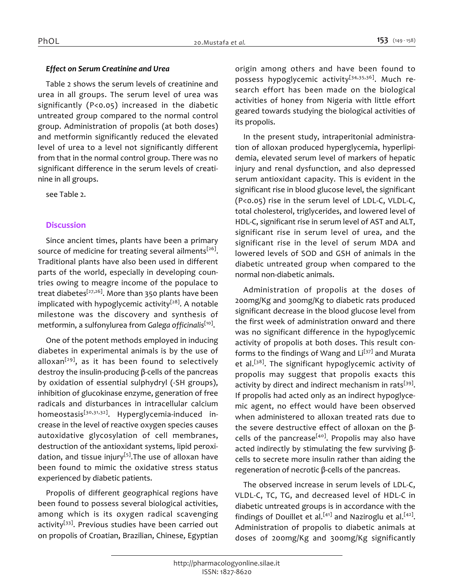#### *Effect on Serum Creatinine and Urea*

*Table 2 shows the serum levels of creatinine and urea in all groups. The serum level of urea was significantly (P<0.05) increased in the diabetic untreated group compared to the normal control group. Administration of propolis (at both doses) and metformin significantly reduced the elevated level of urea to a level not significantly different from that in the normal control group. There was no significant difference in the serum levels of creatinine in all groups.*

*see Table 2.*

# *Discussion*

*Since ancient times, plants have been a primary source of medicine for treating several ailments[26] . Traditional plants have also been used in different parts of the world, especially in developing countries owing to meagre income of the populace to treat diabetes[27,26]. More than 350 plants have been implicated with hypoglycemic activity[28]. A notable milestone was the discovery and synthesis of metformin, a sulfonylurea from Galega officinalis[10] .*

*One of the potent methods employed in inducing diabetes in experimental animals is by the use of alloxan[29], as it has been found to selectively destroy the insulin-producing β-cells of the pancreas by oxidation of essential sulphydryl (-SH groups), inhibition of glucokinase enzyme, generation of free radicals and disturbances in intracellular calcium homeostasis[30,31,32]. Hyperglycemia-induced increase in the level of reactive oxygen species causes autoxidative glycosylation of cell membranes, destruction of the antioxidant systems, lipid peroxidation, and tissue injury[5].The use of alloxan have been found to mimic the oxidative stress status experienced by diabetic patients.*

*Propolis of different geographical regions have been found to possess several biological activities, among which is its oxygen radical scavenging activity[33]. Previous studies have been carried out on propolis of Croatian, Brazilian, Chinese, Egyptian* 

*origin among others and have been found to possess hypoglycemic activity[34,35,36]. Much research effort has been made on the biological activities of honey from Nigeria with little effort geared towards studying the biological activities of its propolis.*

*In the present study, intraperitonial administration of alloxan produced hyperglycemia, hyperlipidemia, elevated serum level of markers of hepatic injury and renal dysfunction, and also depressed serum antioxidant capacity. This is evident in the significant rise in blood glucose level, the significant (P<0.05) rise in the serum level of LDL-C, VLDL-C, total cholesterol, triglycerides, and lowered level of HDL-C, significant rise in serum level of AST and ALT, significant rise in serum level of urea, and the significant rise in the level of serum MDA and lowered levels of SOD and GSH of animals in the diabetic untreated group when compared to the normal non-diabetic animals.*

*Administration of propolis at the doses of 200mg/Kg and 300mg/Kg to diabetic rats produced significant decrease in the blood glucose level from the first week of administration onward and there was no significant difference in the hypoglycemic activity of propolis at both doses. This result conforms to the findings of Wang and Li[37] and Murata et al.[38]. The significant hypoglycemic activity of propolis may suggest that propolis exacts this activity by direct and indirect mechanism in rats[39] . If propolis had acted only as an indirect hypoglycemic agent, no effect would have been observed when administered to alloxan treated rats due to the severe destructive effect of alloxan on the βcells of the pancrease[40]. Propolis may also have acted indirectly by stimulating the few surviving βcells to secrete more insulin rather than aiding the regeneration of necrotic β-cells of the pancreas.*

*The observed increase in serum levels of LDL-C, VLDL-C, TC, TG, and decreased level of HDL-C in diabetic untreated groups is in accordance with the findings of Douillet et al.[41] and Naziroglu et al.[42] . Administration of propolis to diabetic animals at doses of 200mg/Kg and 300mg/Kg significantly*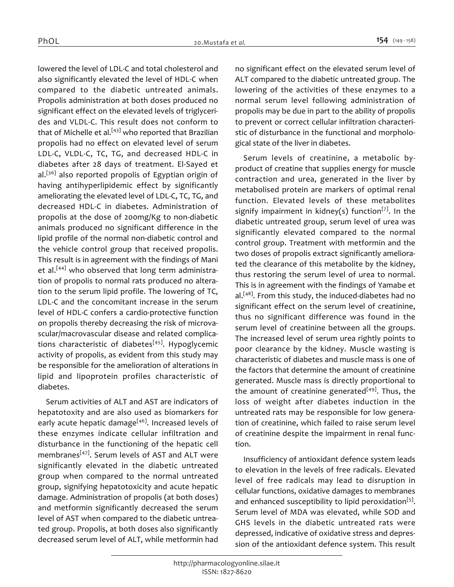*lowered the level of LDL-C and total cholesterol and also significantly elevated the level of HDL-C when compared to the diabetic untreated animals. Propolis administration at both doses produced no significant effect on the elevated levels of triglycerides and VLDL-C. This result does not conform to that of Michelle et al.[43] who reported that Brazilian propolis had no effect on elevated level of serum LDL-C, VLDL-C, TC, TG, and decreased HDL-C in diabetes after 28 days of treatment. El-Sayed et al.[36] also reported propolis of Egyptian origin of having antihyperlipidemic effect by significantly ameliorating the elevated level of LDL-C, TC, TG, and decreased HDL-C in diabetes. Administration of propolis at the dose of 200mg/Kg to non-diabetic animals produced no significant difference in the lipid profile of the normal non-diabetic control and the vehicle control group that received propolis. This result is in agreement with the findings of Mani et al.[44] who observed that long term administration of propolis to normal rats produced no alteration to the serum lipid profile. The lowering of TC, LDL-C and the concomitant increase in the serum level of HDL-C confers a cardio-protective function on propolis thereby decreasing the risk of microvascular/macrovascular disease and related complications characteristic of diabetes[45]. Hypoglycemic activity of propolis, as evident from this study may be responsible for the amelioration of alterations in lipid and lipoprotein profiles characteristic of diabetes.*

*Serum activities of ALT and AST are indicators of hepatotoxity and are also used as biomarkers for early acute hepatic damage[46]. Increased levels of these enzymes indicate cellular infiltration and disturbance in the functioning of the hepatic cell membranes[47]. Serum levels of AST and ALT were significantly elevated in the diabetic untreated group when compared to the normal untreated group, signifying hepatotoxicity and acute hepatic damage. Administration of propolis (at both doses) and metformin significantly decreased the serum level of AST when compared to the diabetic untreated group. Propolis, at both doses also significantly decreased serum level of ALT, while metformin had*  *no significant effect on the elevated serum level of ALT compared to the diabetic untreated group. The lowering of the activities of these enzymes to a normal serum level following administration of propolis may be due in part to the ability of propolis to prevent or correct cellular infiltration characteristic of disturbance in the functional and morphological state of the liver in diabetes.*

*Serum levels of creatinine, a metabolic byproduct of creatine that supplies energy for muscle contraction and urea, generated in the liver by metabolised protein are markers of optimal renal function. Elevated levels of these metabolites signify impairment in kidney(s) function[7]. In the diabetic untreated group, serum level of urea was significantly elevated compared to the normal control group. Treatment with metformin and the two doses of propolis extract significantly ameliorated the clearance of this metabolite by the kidney, thus restoring the serum level of urea to normal. This is in agreement with the findings of Yamabe et al.[48]. From this study, the induced-diabetes had no significant effect on the serum level of creatinine, thus no significant difference was found in the serum level of creatinine between all the groups. The increased level of serum urea rightly points to poor clearance by the kidney. Muscle wasting is characteristic of diabetes and muscle mass is one of the factors that determine the amount of creatinine generated. Muscle mass is directly proportional to the amount of creatinine generated[49]. Thus, the loss of weight after diabetes induction in the untreated rats may be responsible for low generation of creatinine, which failed to raise serum level of creatinine despite the impairment in renal function.*

*Insufficiency of antioxidant defence system leads to elevation in the levels of free radicals. Elevated level of free radicals may lead to disruption in cellular functions, oxidative damages to membranes and enhanced susceptibility to lipid peroxidation[5] . Serum level of MDA was elevated, while SOD and GHS levels in the diabetic untreated rats were depressed, indicative of oxidative stress and depression of the antioxidant defence system. This result*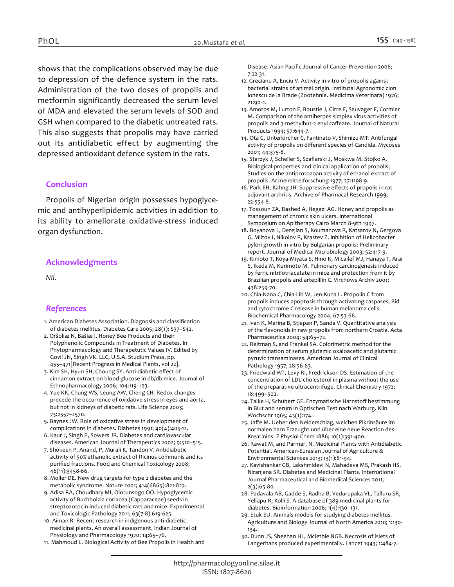*shows that the complications observed may be due to depression of the defence system in the rats. Administration of the two doses of propolis and metformin significantly decreased the serum level of MDA and elevated the serum levels of SOD and GSH when compared to the diabetic untreated rats. This also suggests that propolis may have carried out its antidiabetic effect by augmenting the depressed antioxidant defence system in the rats.*

#### *Conclusion*

*Propolis of Nigerian origin possesses hypoglycemic and antihyperlipidemic activities in addition to its ability to ameliorate oxidative-stress induced organ dysfunction.*

#### *Acknowledgments*

*Nil.*

#### *References*

- *1. American Diabetes Association. Diagnosis and classification of diabetes mellitus. Diabetes Care 2005; 28(1): S37–S42.*
- *2. Oršoliæ N, Bašiæ I. Honey Bee Products and their Polyphenolic Compounds in Treatment of Diabetes. In Phytopharmacology and Therapetutic Values IV. Edited by Govil JN, Singh VK. LLC, U.S.A. Studium Press, pp. 455–471[Recent Progress in Medical Plants, vol 22].*
- *3. Kim SH, Hyun SH, Choung SY. Anti-diabetic effect of cinnamon extract on blood glucose in db/db mice. Journal of Ethnopharmacology 2006; 104:119–123.*
- *4. Yue KK, Chung WS, Leung AW, Cheng CH. Redox changes precede the occurrence of oxidative stress in eyes and aorta, but not in kidneys of diabetic rats. Life Science 2003; 73:2557–2570.*
- *5. Baynes JW. Role of oxidative stress in development of complications in diabetes. Diabetes 1991; 40(4):405-12.*
- *6. Kaur J, Singh P, Sowers JR. Diabetes and cardiovascular diseases. American Journal of Therapeutics 2002; 9:510–515.*
- *7. Shokeen P, Anand, P, Murali K, Tandon V. Antidiabetic activity of 50% ethanolic extract of Ricinus communis and its purified fractions. Food and Chemical Toxicology 2008; 46(11):3458-66.*
- *8. Moller DE. New drug targets for type 2 diabetes and the metabolic syndrome. Nature 2001; 414(6865):821-827.*
- *9. Adisa RA, Choudhary MI, Olorunsogo OO. Hypoglycemic activity of Buchholzia coriacea (Capparaceae) seeds in streptozotocin-induced diabetic rats and mice. Experimental and Toxicologic Pathology 2011; 63(7-8):619-625.*
- *10. Aiman R. Recent research in indigenous anti-diabetic medicinal plants, An overall assessment. Indian Journal of Physiology and Pharmacology 1970; 14:65–76.*
- *11. Mahmoud L. Biological Activity of Bee Propolis in Health and*

*Disease. Asian Pacific Journal of Cancer Prevention 2006; 7:22-31.*

- *12. Grecianu A, Enciu V. Activity in vitro of propolis against bacterial strains of animal origin. Institutal Agronomic cIon Ionescu de la Brade (Zootehnie. Medicima Veterinara) 1976; 21:90-2.*
- *13. Amoros M, Lurton F, Boustie J, Girre F, Sauvager F, Cormier M. Comparison of the antiherpes simplex virus activities of propolis and 3-methylbut-2 enyl caffeate. Journal of Natural Products 1994; 57:644-7.*
- *14. Ota C, Unterkircher C, Fantinato V, Shimizu MT. Antifungal activity of propolis on different species of Candida. Mycoses 2001; 44:375-8.*
- *15. Starzyk J, Scheller S, Szaflarski J, Moskwa M, Stojko A. Biological properties and clinical application of propolis; Studies on the antiprotozoan activity of ethanol extract of propolis. Arzneimittelforschung 1977; 27:1198-9.*
- *16. Park EH, Kahng JH. Suppressive effects of propolis in rat adjuvant arthritis. Archive of Pharmacal Research 1999; 22:554-8.*
- *17. Tossoun ZA, Rashed A, Hegazi AG. Honey and propolis as management of chronic skin ulcers. International Symposium on Apitherapy Cairo March 8-9th 1997.*
- *18. Boyanova L, Derejian S, Koumanova R, Katsarov N, Gergova G, Miltov I, Nikolov R, Krastev Z. Inhibition of Helicobacter pylori growth in vitro by Bulgarian propolis: Preliminary report. Journal of Medical Microbiology 2003; 52:417-9.*
- *19. Kimoto T, Koya-Miyata S, Hino K, Micallef MJ, Hanaya T, Arai S, Ikeda M, Kurimoto M. Pulmonary carcinogenesis induced by ferric nitrilotriacetate in mice and protection from it by Brazilian propolis and artepillin C. Virchows Archiv 2001; 438:259-70.*
- *20. Chia-Nana C, Chia-Lib W, Jen-Kuna L. Propolin C from propolis induces apoptosis through activating caspases, Bid and cytochrome C release in human melanoma cells. Biochemical Pharmacology 2004; 67:53-66.*
- *21. Ivan K, Marina B, Stjepan P, Sanda V. Quantitative analysis of the flavonoids in raw propolis from northern Croatia. Acta Pharmaceutica 2004; 54:65–72.*
- *22. Reitman S, and Frankel SA. Colorimetric method for the determination of serum glutamic oxaloacetic and glutamic pyruvic transaminases. American Journal of Clinical Pathology 1957; 28:56-63.*
- *23. Friedwald WT, Levy RI, Fredrickson DS. Estimation of the concentration of LDL-cholesterol in plasma without the use of the preparative ultracentrifuge. Clinical Chemistry 1972; 18:499–502.*
- *24. Talke H, Schubert GE. Enzymatische Harnstoff bestimmung in Blut and serum in Optischen Test nach Warburg. Klin Wochschr 1965; 43(1):174.*
- *25. Jaffe M. Ueber den Neiderschlag, welchen Pikrinsäure im normalen harn Erzeught und über eine neue Reaction des Kreatinins. Z Physiol Chem 1886; 10(1):391-400.*
- *26. Rawat M, and Parmar, N. Medicinal Plants with Antidiabetic Potential. American-Eurasian Journal of Agriculture & Environmental Sciences 2013; 13(1):81-94.*
- *27. Kavishankar GB, Lakshmidevi N, Mahadeva MS, Prakash HS, Niranjana SR. Diabetes and Medicinal Plants. International Journal Pharmaceutical and Biomedical Sciences 2011; 2(3):65-80.*
- *28. Padavala AB, Gadde S, Radha B, Vedurupaka VL, Talluru SR, Yellapu R, Kolli S. A database of 389 medicinal plants for diabetes. Bioinformation 2006; 1(4):130–131.*
- *29. Etuk EU. Animals models for studying diabetes mellitus. Agriculture and Biology Journal of North America 2010; 1:130- 134.*
- *30. Dunn JS, Sheehan HL, Mclethie NGB. Necrosis of islets of Langerhans produced experimentally. Lancet 1943; 1:484-7.*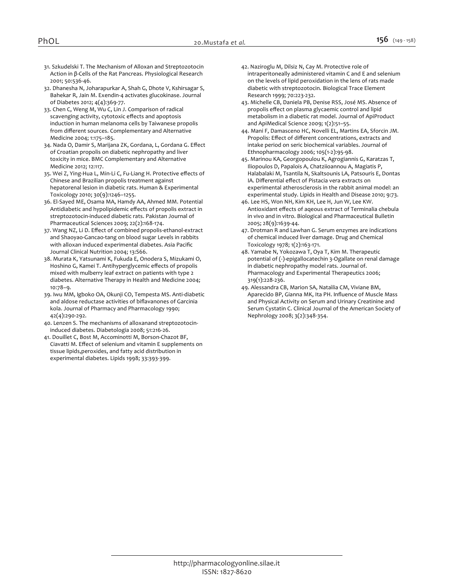- *31. Szkudelski T. The Mechanism of Alloxan and Streptozotocin Action in β-Cells of the Rat Pancreas. Physiological Research 2001; 50:536-46.*
- *32. Dhanesha N, Joharapurkar A, Shah G, Dhote V, Kshirsagar S, Bahekar R, Jain M. Exendin-4 activates glucokinase. Journal of Diabetes 2012; 4(4):369-77.*
- *33. Chen C, Weng M, Wu C, Lin J. Comparison of radical scavenging activity, cytotoxic effects and apoptosis induction in human melanoma cells by Taiwanese propolis from different sources. Complementary and Alternative Medicine 2004; 1:175–185.*
- *34. Nada O, Damir S, Marijana ZK, Gordana, L, Gordana G. Effect of Croatian propolis on diabetic nephropathy and liver toxicity in mice. BMC Complementary and Alternative Medicine 2012; 12:117.*
- *35. Wei Z, Ying-Hua L, Min-Li C, Fu-Liang H. Protective effects of Chinese and Brazilian propolis treatment against hepatorenal lesion in diabetic rats. Human & Experimental Toxicology 2010; 30(9):1246–1255.*
- *36. El-Sayed ME, Osama MA, Hamdy AA, Ahmed MM. Potential Antidiabetic and hypolipidemic effects of propolis extract in streptozotocin-induced diabetic rats. Pakistan Journal of Pharmaceutical Sciences 2009; 22(2):168-174.*
- *37. Wang NZ, Li D. Effect of combined propolis-ethanol-extract and Shaoyao-Gancao-tang on blood sugar Levels in rabbits with alloxan induced experimental diabetes. Asia Pacific Journal Clinical Nutrition 2004; 13:S66.*
- *38. Murata K, Yatsunami K, Fukuda E, Onodera S, Mizukami O, Hoshino G, Kamei T. Antihyperglycemic effects of propolis mixed with mulberry leaf extract on patients with type 2 diabetes. Alternative Therapy in Health and Medicine 2004; 10:78–9.*
- *39. Iwu MM, Igboko OA, Okunji CO, Tempesta MS. Anti-diabetic and aldose reductase activities of biflavanones of Garcinia kola. Journal of Pharmacy and Pharmacology 1990; 42(4):290-292.*
- *40. Lenzen S. The mechanisms of alloxanand streptozotocininduced diabetes. Diabetologia 2008; 51:216-26.*
- *41. Douillet C, Bost M, Accominotti M, Borson-Chazot BF, Ciavatti M. Effect of selenium and vitamin E supplements on tissue lipids,peroxides, and fatty acid distribution in experimental diabetes. Lipids 1998; 33:393-399.*
- *42. Naziroglu M, Dilsiz N, Cay M. Protective role of intraperitoneally administered vitamin C and E and selenium on the levels of lipid peroxidation in the lens of rats made diabetic with streptozotocin. Biological Trace Element Research 1999; 70:223-232.*
- *43. Michelle CB, Daniela PB, Denise RSS, José MS. Absence of propolis effect on plasma glycaemic control and lipid metabolism in a diabetic rat model. Journal of ApiProduct and ApiMedical Science 2009; 1(2):51–55.*
- *44. Mani F, Damasceno HC, Novelli EL, Martins EA, Sforcin JM. Propolis: Effect of different concentrations, extracts and intake period on seric biochemical variables. Journal of Ethnopharmacology 2006; 105(1-2):95-98.*
- *45. Marinou KA, Georgopoulou K, Agrogiannis G, Karatzas T, Iliopoulos D, Papalois A, Chatziioannou A, Magiatis P, Halabalaki M, Tsantila N, Skaltsounis LA, Patsouris E, Dontas IA. Differential effect of Pistacia vera extracts on experimental atherosclerosis in the rabbit animal model: an experimental study. Lipids in Health and Disease 2010; 9:73.*
- *46. Lee HS, Won NH, Kim KH, Lee H, Jun W, Lee KW. Antioxidant effects of aqeous extract of Terminalia chebula in vivo and in vitro. Biological and Pharmaceutical Bulletin 2005; 28(9):1639-44.*
- *47. Drotman R and Lawhan G. Serum enzymes are indications of chemical induced liver damage. Drug and Chemical Toxicology 1978; 1(2):163-171.*
- *48. Yamabe N, Yokozawa T, Oya T, Kim M. Therapeutic potential of (-)-epigallocatechin 3-Ogallate on renal damage in diabetic nephropathy model rats. Journal of. Pharmacology and Experimental Therapeutics 2006; 319(1):228-236.*
- *49. Alessandra CB, Marion SA, Nataìlia CM, Viviane BM, Aparecido BP, Gianna MK, Ita PH. Influence of Muscle Mass and Physical Activity on Serum and Urinary Creatinine and Serum Cystatin C. Clinical Journal of the American Society of Nephrology 2008; 3(2):348-354.*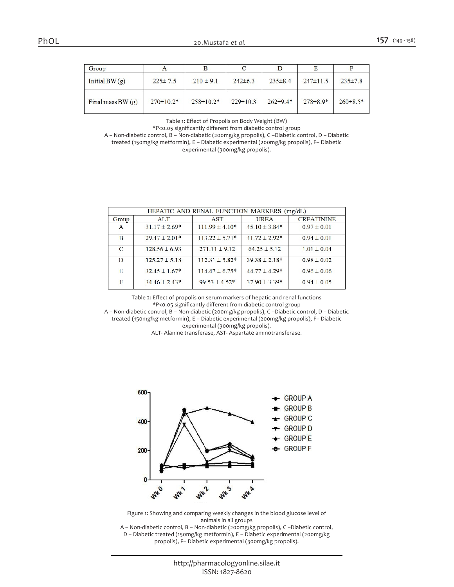|--|--|

| Group               | A               |                 |                |                |                |                |
|---------------------|-----------------|-----------------|----------------|----------------|----------------|----------------|
| Initial $BW(g)$     | $225 \pm 7.5$   | $210 \pm 9.1$   | $242 \pm 6.3$  | $235 \pm 8.4$  | $247 \pm 11.5$ | $235 \pm 7.8$  |
| Final mass BW $(g)$ | $270 \pm 10.2*$ | $258 \pm 10.2*$ | $229 \pm 10.3$ | $262 \pm 9.4*$ | $278 \pm 8.9*$ | $260 \pm 8.5*$ |

*Table 1: Effect of Propolis on Body Weight (BW)*

*\*P<0.05 significantly different from diabetic control group*

*A – Non-diabetic control, B – Non-diabetic (200mg/kg propolis), C –Diabetic control, D – Diabetic* 

*treated (150mg/kg metformin), E – Diabetic experimental (200mg/kg propolis), F– Diabetic* 

*experimental (300mg/kg propolis).*

| HEPATIC AND RENAL FUNCTION MARKERS (mg/dL) |                   |                     |                    |                   |  |  |
|--------------------------------------------|-------------------|---------------------|--------------------|-------------------|--|--|
| Group                                      | <b>ALT</b>        | <b>AST</b>          | <b>UREA</b>        | <b>CREATININE</b> |  |  |
| A                                          | $31.17 \pm 2.69*$ | $111.99 \pm 4.10*$  | $45.10 \pm 3.84*$  | $0.97 \pm 0.01$   |  |  |
| B                                          | $29.47 \pm 2.01*$ | $113.22 \pm 5.71*$  | $41.72 \pm 2.92^*$ | $0.94 \pm 0.01$   |  |  |
| $\mathbf C$                                | $128.56 \pm 6.93$ | $271.11 \pm 9.12$   | $64.25 \pm 5.12$   | $1.01 \pm 0.04$   |  |  |
| D                                          | $125.27 \pm 5.18$ | $112.31 \pm 5.82*$  | $39.38 \pm 2.18*$  | $0.98 \pm 0.02$   |  |  |
| E                                          | $32.45 \pm 1.67*$ | $114.47 \pm 6.75^*$ | $44.77 \pm 4.29*$  | $0.96 \pm 0.06$   |  |  |
| F                                          | $34.46 \pm 2.43*$ | $99.53 \pm 4.52*$   | $37.90 \pm 3.39*$  | $0.94 \pm 0.05$   |  |  |

*Table 2: Effect of propolis on serum markers of hepatic and renal functions \*P<0.05 significantly different from diabetic control group*

*A – Non-diabetic control, B – Non-diabetic (200mg/kg propolis), C –Diabetic control, D – Diabetic treated (150mg/kg metformin), E – Diabetic experimental (200mg/kg propolis), F– Diabetic experimental (300mg/kg propolis).*

*ALT- Alanine transferase, AST- Aspartate aminotransferase.*



*Figure 1: Showing and comparing weekly changes in the blood glucose level of animals in all groups*

*A – Non-diabetic control, B – Non-diabetic (200mg/kg propolis), C –Diabetic control, D – Diabetic treated (150mg/kg metformin), E – Diabetic experimental (200mg/kg propolis), F– Diabetic experimental (300mg/kg propolis).*